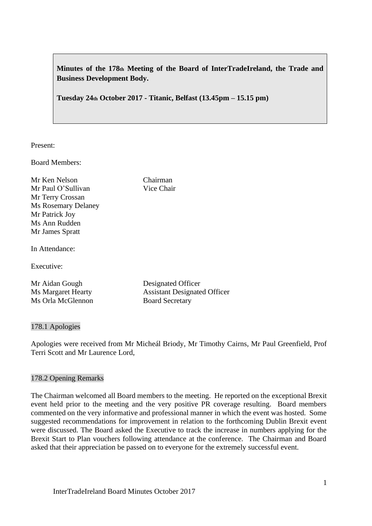**Minutes of the 178th Meeting of the Board of InterTradeIreland, the Trade and Business Development Body.**

**Tuesday 24th October 2017 - Titanic, Belfast (13.45pm – 15.15 pm)**

Present:

Board Members:

Mr Ken Nelson Chairman Mr Paul O'Sullivan Vice Chair Mr Terry Crossan Ms Rosemary Delaney Mr Patrick Joy Ms Ann Rudden Mr James Spratt

In Attendance:

Executive:

Mr Aidan Gough Designated Officer Ms Margaret Hearty Assistant Designated Officer Ms Orla McGlennon Board Secretary

#### 178.1 Apologies

Apologies were received from Mr Micheál Briody, Mr Timothy Cairns, Mr Paul Greenfield, Prof Terri Scott and Mr Laurence Lord,

#### 178.2 Opening Remarks

The Chairman welcomed all Board members to the meeting. He reported on the exceptional Brexit event held prior to the meeting and the very positive PR coverage resulting. Board members commented on the very informative and professional manner in which the event was hosted. Some suggested recommendations for improvement in relation to the forthcoming Dublin Brexit event were discussed. The Board asked the Executive to track the increase in numbers applying for the Brexit Start to Plan vouchers following attendance at the conference. The Chairman and Board asked that their appreciation be passed on to everyone for the extremely successful event.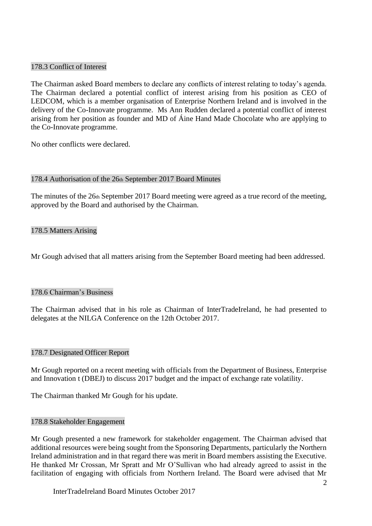## 178.3 Conflict of Interest

The Chairman asked Board members to declare any conflicts of interest relating to today's agenda. The Chairman declared a potential conflict of interest arising from his position as CEO of LEDCOM, which is a member organisation of Enterprise Northern Ireland and is involved in the delivery of the Co-Innovate programme. Ms Ann Rudden declared a potential conflict of interest arising from her position as founder and MD of Áine Hand Made Chocolate who are applying to the Co-Innovate programme.

No other conflicts were declared.

#### 178.4 Authorisation of the 26th September 2017 Board Minutes

The minutes of the 26th September 2017 Board meeting were agreed as a true record of the meeting, approved by the Board and authorised by the Chairman.

## 178.5 Matters Arising

Mr Gough advised that all matters arising from the September Board meeting had been addressed.

#### 178.6 Chairman's Business

The Chairman advised that in his role as Chairman of InterTradeIreland, he had presented to delegates at the NILGA Conference on the 12th October 2017.

#### 178.7 Designated Officer Report

Mr Gough reported on a recent meeting with officials from the Department of Business, Enterprise and Innovation t (DBEJ) to discuss 2017 budget and the impact of exchange rate volatility.

The Chairman thanked Mr Gough for his update.

#### 178.8 Stakeholder Engagement

Mr Gough presented a new framework for stakeholder engagement. The Chairman advised that additional resources were being sought from the Sponsoring Departments, particularly the Northern Ireland administration and in that regard there was merit in Board members assisting the Executive. He thanked Mr Crossan, Mr Spratt and Mr O'Sullivan who had already agreed to assist in the facilitation of engaging with officials from Northern Ireland. The Board were advised that Mr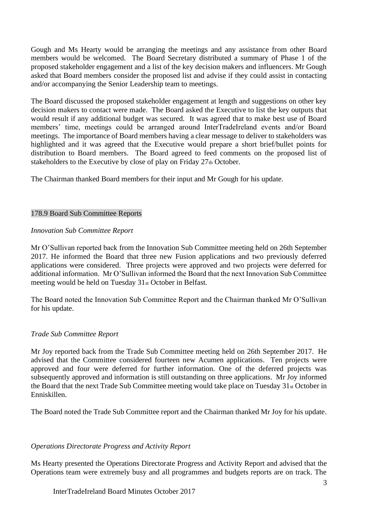Gough and Ms Hearty would be arranging the meetings and any assistance from other Board members would be welcomed. The Board Secretary distributed a summary of Phase 1 of the proposed stakeholder engagement and a list of the key decision makers and influencers. Mr Gough asked that Board members consider the proposed list and advise if they could assist in contacting and/or accompanying the Senior Leadership team to meetings.

The Board discussed the proposed stakeholder engagement at length and suggestions on other key decision makers to contact were made. The Board asked the Executive to list the key outputs that would result if any additional budget was secured. It was agreed that to make best use of Board members' time, meetings could be arranged around InterTradeIreland events and/or Board meetings. The importance of Board members having a clear message to deliver to stakeholders was highlighted and it was agreed that the Executive would prepare a short brief/bullet points for distribution to Board members. The Board agreed to feed comments on the proposed list of stakeholders to the Executive by close of play on Friday 27th October.

The Chairman thanked Board members for their input and Mr Gough for his update.

## 178.9 Board Sub Committee Reports

## *Innovation Sub Committee Report*

Mr O'Sullivan reported back from the Innovation Sub Committee meeting held on 26th September 2017. He informed the Board that three new Fusion applications and two previously deferred applications were considered. Three projects were approved and two projects were deferred for additional information. Mr O'Sullivan informed the Board that the next Innovation Sub Committee meeting would be held on Tuesday 31st October in Belfast.

The Board noted the Innovation Sub Committee Report and the Chairman thanked Mr O'Sullivan for his update.

# *Trade Sub Committee Report*

Mr Joy reported back from the Trade Sub Committee meeting held on 26th September 2017. He advised that the Committee considered fourteen new Acumen applications. Ten projects were approved and four were deferred for further information. One of the deferred projects was subsequently approved and information is still outstanding on three applications. Mr Joy informed the Board that the next Trade Sub Committee meeting would take place on Tuesday 31st October in Enniskillen.

The Board noted the Trade Sub Committee report and the Chairman thanked Mr Joy for his update.

# *Operations Directorate Progress and Activity Report*

Ms Hearty presented the Operations Directorate Progress and Activity Report and advised that the Operations team were extremely busy and all programmes and budgets reports are on track. The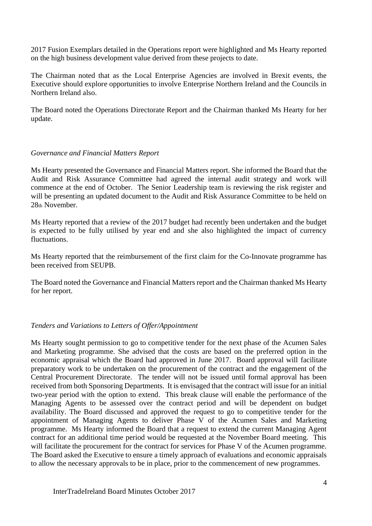2017 Fusion Exemplars detailed in the Operations report were highlighted and Ms Hearty reported on the high business development value derived from these projects to date.

The Chairman noted that as the Local Enterprise Agencies are involved in Brexit events, the Executive should explore opportunities to involve Enterprise Northern Ireland and the Councils in Northern Ireland also.

The Board noted the Operations Directorate Report and the Chairman thanked Ms Hearty for her update.

## *Governance and Financial Matters Report*

Ms Hearty presented the Governance and Financial Matters report. She informed the Board that the Audit and Risk Assurance Committee had agreed the internal audit strategy and work will commence at the end of October. The Senior Leadership team is reviewing the risk register and will be presenting an updated document to the Audit and Risk Assurance Committee to be held on 28th November.

Ms Hearty reported that a review of the 2017 budget had recently been undertaken and the budget is expected to be fully utilised by year end and she also highlighted the impact of currency fluctuations.

Ms Hearty reported that the reimbursement of the first claim for the Co-Innovate programme has been received from SEUPB.

The Board noted the Governance and Financial Matters report and the Chairman thanked Ms Hearty for her report.

# *Tenders and Variations to Letters of Offer/Appointment*

Ms Hearty sought permission to go to competitive tender for the next phase of the Acumen Sales and Marketing programme. She advised that the costs are based on the preferred option in the economic appraisal which the Board had approved in June 2017. Board approval will facilitate preparatory work to be undertaken on the procurement of the contract and the engagement of the Central Procurement Directorate. The tender will not be issued until formal approval has been received from both Sponsoring Departments. It is envisaged that the contract will issue for an initial two-year period with the option to extend. This break clause will enable the performance of the Managing Agents to be assessed over the contract period and will be dependent on budget availability. The Board discussed and approved the request to go to competitive tender for the appointment of Managing Agents to deliver Phase V of the Acumen Sales and Marketing programme. Ms Hearty informed the Board that a request to extend the current Managing Agent contract for an additional time period would be requested at the November Board meeting. This will facilitate the procurement for the contract for services for Phase V of the Acumen programme. The Board asked the Executive to ensure a timely approach of evaluations and economic appraisals to allow the necessary approvals to be in place, prior to the commencement of new programmes.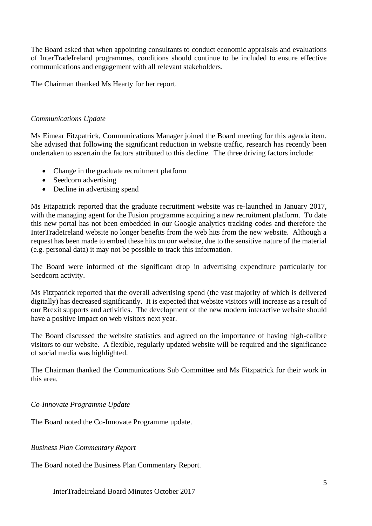The Board asked that when appointing consultants to conduct economic appraisals and evaluations of InterTradeIreland programmes, conditions should continue to be included to ensure effective communications and engagement with all relevant stakeholders.

The Chairman thanked Ms Hearty for her report.

## *Communications Update*

Ms Eimear Fitzpatrick, Communications Manager joined the Board meeting for this agenda item. She advised that following the significant reduction in website traffic, research has recently been undertaken to ascertain the factors attributed to this decline. The three driving factors include:

- Change in the graduate recruitment platform
- Seedcorn advertising
- Decline in advertising spend

Ms Fitzpatrick reported that the graduate recruitment website was re-launched in January 2017, with the managing agent for the Fusion programme acquiring a new recruitment platform. To date this new portal has not been embedded in our Google analytics tracking codes and therefore the InterTradeIreland website no longer benefits from the web hits from the new website. Although a request has been made to embed these hits on our website, due to the sensitive nature of the material (e.g. personal data) it may not be possible to track this information.

The Board were informed of the significant drop in advertising expenditure particularly for Seedcorn activity.

Ms Fitzpatrick reported that the overall advertising spend (the vast majority of which is delivered digitally) has decreased significantly. It is expected that website visitors will increase as a result of our Brexit supports and activities. The development of the new modern interactive website should have a positive impact on web visitors next year.

The Board discussed the website statistics and agreed on the importance of having high-calibre visitors to our website. A flexible, regularly updated website will be required and the significance of social media was highlighted.

The Chairman thanked the Communications Sub Committee and Ms Fitzpatrick for their work in this area.

#### *Co-Innovate Programme Update*

The Board noted the Co-Innovate Programme update.

*Business Plan Commentary Report*

The Board noted the Business Plan Commentary Report.